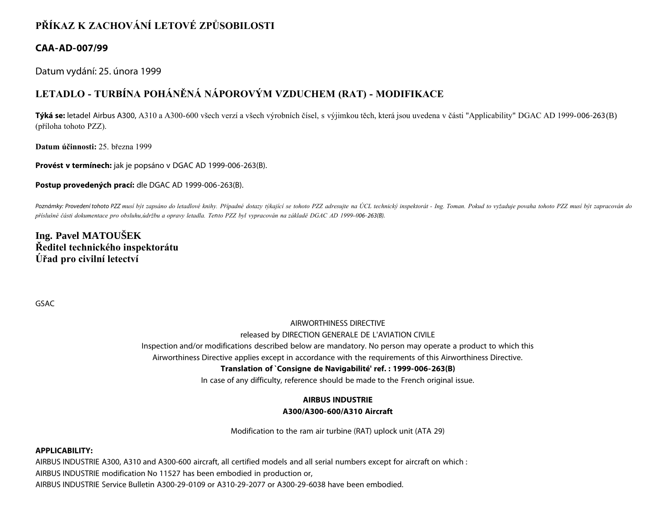# **PŘÍKAZ K ZACHOVÁNÍ LETOVÉ ZPŮSOBILOSTI**

# **CAA-AD-007/99**

Datum vydání: 25. února 1999

# **LETADLO - TURBÍNA POHÁNĚNÁ NÁPOROVÝM VZDUCHEM (RAT) - MODIFIKACE**

**Týká se:** letadel Airbus A300, A310 a A300-600 všech verzí a všech výrobních čísel, s výjimkou těch, která jsou uvedena v části "Applicability" DGAC AD 1999-006-263(B) (příloha tohoto PZZ).

**Datum účinnosti:** 25. března 1999

**Provést v termínech:** jak je popsáno v DGAC AD 1999-006-263(B).

**Postup provedených prací:** dle DGAC AD 1999-006-263(B).

Poznámky: Provedení tohoto PZZ musí být zapsáno do letadlové knihy. Případné dotazy týkající se tohoto PZZ adresujte na ÚCL technický inspektorát - Ing. Toman. Pokud to vyžaduje povaha tohoto PZZ musí být zapracován do *příslušné části dokumentace pro obsluhu,údržbu a opravy letadla. Tento PZZ byl vypracován na základě DGAC AD 1999-006- 263(B).*

**Ing. Pavel MATOUŠEK Ředitel technického inspektorátu Úřad pro civilní letectví**

GSAC

### AIRWORTHINESS DIRECTIVE

### released by DIRECTION GENERALE DE L'AVIATION CIVILE

Inspection and/or modifications described below are mandatory. No person may operate a product to which this

Airworthiness Directive applies except in accordance with the requirements of this Airworthiness Directive.

## **Translation of `Consigne de Navigabilité' ref. : 1999-006-263(B)**

In case of any difficulty, reference should be made to the French original issue.

# **AIRBUS INDUSTRIE A300/A300-600/A310 Aircraft**

Modification to the ram air turbine (RAT) uplock unit (ATA 29)

### **APPLICABILITY:**

AIRBUS INDUSTRIE A300, A310 and A300-600 aircraft, all certified models and all serial numbers except for aircraft on which : AIRBUS INDUSTRIE modification No 11527 has been embodied in production or, AIRBUS INDUSTRIE Service Bulletin A300-29-0109 or A310-29-2077 or A300-29-6038 have been embodied.